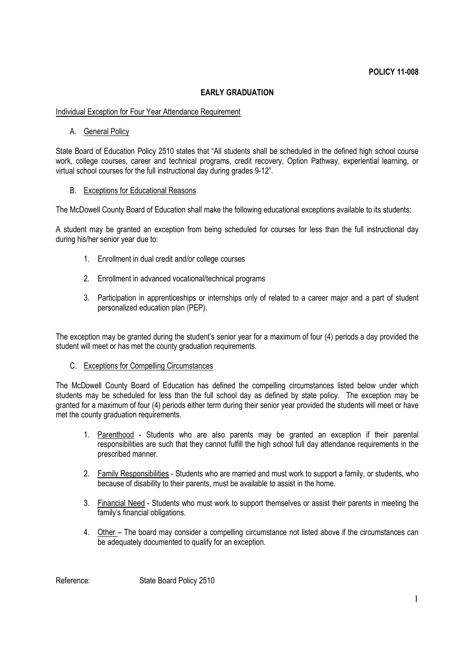# **EARLY GRADUATION**

## Individual Exception for Four Year Attendance Requirement

### A. General Policy

State Board of Education Policy 2510 states that "All students shall be scheduled in the defined high school course work, college courses, career and technical programs, credit recovery, Option Pathway, experiential learning, or virtual school courses for the full instructional day during grades 9-12".

### B. Exceptions for Educational Reasons

The McDowell County Board of Education shall make the following educational exceptions available to its students:

A student may be granted an exception from being scheduled for courses for less than the full instructional day during his/her senior year due to:

- 1. Enrollment in dual credit and/or college courses
- 2. Enrollment in advanced vocational/technical programs
- 3. Participation in apprenticeships or internships only of related to a career major and a part of student personalized education plan (PEP).

The exception may be granted during the student's senior year for a maximum of four (4) periods a day provided the student will meet or has met the county graduation requirements.

### C. Exceptions for Compelling Circumstances

The McDowell County Board of Education has defined the compelling circumstances listed below under which students may be scheduled for less than the full school day as defined by state policy. The exception may be granted for a maximum of four (4) periods either term during their senior year provided the students will meet or have met the county graduation requirements.

- 1. Parenthood Students who are also parents may be granted an exception if their parental responsibilities are such that they cannot fulfill the high school full day attendance requirements in the prescribed manner.
- 2. Family Responsibilities Students who are married and must work to support a family, or students, who because of disability to their parents, must be available to assist in the home.
- 3. Financial Need Students who must work to support themselves or assist their parents in meeting the family's financial obligations.
- 4. Other The board may consider a compelling circumstance not listed above if the circumstances can be adequately documented to qualify for an exception.

Reference: State Board Policy 2510